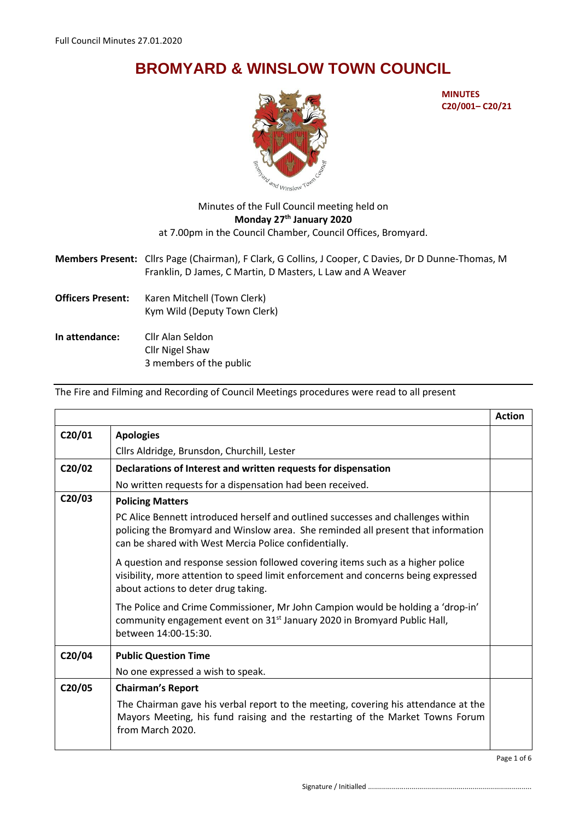## **BROMYARD & WINSLOW TOWN COUNCIL**



**MINUTES C20/001– C20/21**

## Minutes of the Full Council meeting held on **Monday 27th January 2020** at 7.00pm in the Council Chamber, Council Offices, Bromyard.

**Members Present:** Cllrs Page (Chairman), F Clark, G Collins, J Cooper, C Davies, Dr D Dunne-Thomas, M Franklin, D James, C Martin, D Masters, L Law and A Weaver

- **Officers Present:** Karen Mitchell (Town Clerk) Kym Wild (Deputy Town Clerk)
- **In attendance:** Cllr Alan Seldon Cllr Nigel Shaw 3 members of the public

The Fire and Filming and Recording of Council Meetings procedures were read to all present

|        |                                                                                                                                                                                                                                | <b>Action</b> |
|--------|--------------------------------------------------------------------------------------------------------------------------------------------------------------------------------------------------------------------------------|---------------|
| C20/01 | <b>Apologies</b>                                                                                                                                                                                                               |               |
|        | Cllrs Aldridge, Brunsdon, Churchill, Lester                                                                                                                                                                                    |               |
| C20/02 | Declarations of Interest and written requests for dispensation                                                                                                                                                                 |               |
|        | No written requests for a dispensation had been received.                                                                                                                                                                      |               |
| C20/03 | <b>Policing Matters</b>                                                                                                                                                                                                        |               |
|        | PC Alice Bennett introduced herself and outlined successes and challenges within<br>policing the Bromyard and Winslow area. She reminded all present that information<br>can be shared with West Mercia Police confidentially. |               |
|        | A question and response session followed covering items such as a higher police<br>visibility, more attention to speed limit enforcement and concerns being expressed<br>about actions to deter drug taking.                   |               |
|        | The Police and Crime Commissioner, Mr John Campion would be holding a 'drop-in'<br>community engagement event on 31 <sup>st</sup> January 2020 in Bromyard Public Hall,<br>between 14:00-15:30.                                |               |
| C20/04 | <b>Public Question Time</b>                                                                                                                                                                                                    |               |
|        | No one expressed a wish to speak.                                                                                                                                                                                              |               |
| C20/05 | <b>Chairman's Report</b>                                                                                                                                                                                                       |               |
|        | The Chairman gave his verbal report to the meeting, covering his attendance at the<br>Mayors Meeting, his fund raising and the restarting of the Market Towns Forum<br>from March 2020.                                        |               |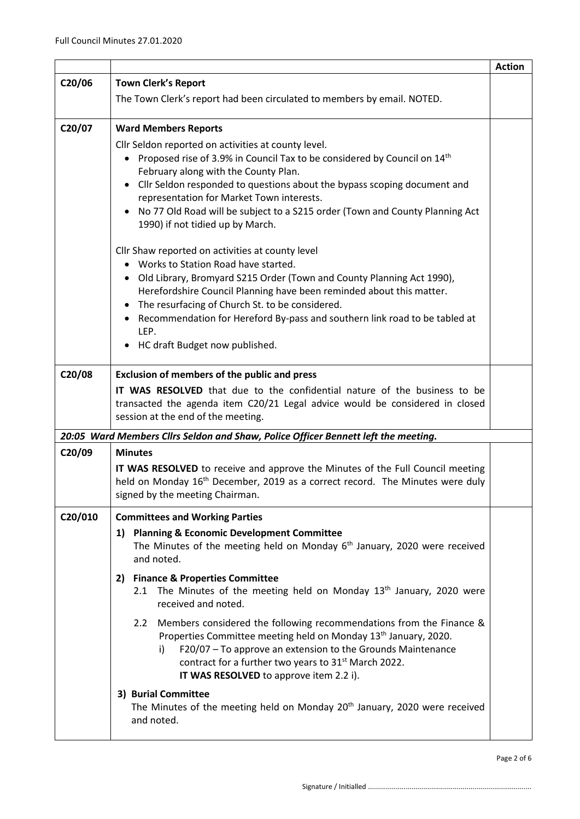|         |                                                                                                                                                                                                 | <b>Action</b> |  |  |  |
|---------|-------------------------------------------------------------------------------------------------------------------------------------------------------------------------------------------------|---------------|--|--|--|
| C20/06  | <b>Town Clerk's Report</b>                                                                                                                                                                      |               |  |  |  |
|         | The Town Clerk's report had been circulated to members by email. NOTED.                                                                                                                         |               |  |  |  |
| C20/07  | <b>Ward Members Reports</b>                                                                                                                                                                     |               |  |  |  |
|         | Cllr Seldon reported on activities at county level.                                                                                                                                             |               |  |  |  |
|         | Proposed rise of 3.9% in Council Tax to be considered by Council on 14 <sup>th</sup>                                                                                                            |               |  |  |  |
|         | February along with the County Plan.                                                                                                                                                            |               |  |  |  |
|         | • Cllr Seldon responded to questions about the bypass scoping document and<br>representation for Market Town interests.                                                                         |               |  |  |  |
|         | No 77 Old Road will be subject to a S215 order (Town and County Planning Act                                                                                                                    |               |  |  |  |
|         | 1990) if not tidied up by March.                                                                                                                                                                |               |  |  |  |
|         | Cllr Shaw reported on activities at county level                                                                                                                                                |               |  |  |  |
|         | • Works to Station Road have started.                                                                                                                                                           |               |  |  |  |
|         | • Old Library, Bromyard S215 Order (Town and County Planning Act 1990),<br>Herefordshire Council Planning have been reminded about this matter.                                                 |               |  |  |  |
|         | The resurfacing of Church St. to be considered.                                                                                                                                                 |               |  |  |  |
|         | Recommendation for Hereford By-pass and southern link road to be tabled at<br>$\bullet$                                                                                                         |               |  |  |  |
|         | LEP.                                                                                                                                                                                            |               |  |  |  |
|         | HC draft Budget now published.                                                                                                                                                                  |               |  |  |  |
| C20/08  | <b>Exclusion of members of the public and press</b>                                                                                                                                             |               |  |  |  |
|         | IT WAS RESOLVED that due to the confidential nature of the business to be<br>transacted the agenda item C20/21 Legal advice would be considered in closed<br>session at the end of the meeting. |               |  |  |  |
|         | 20:05 Ward Members Cllrs Seldon and Shaw, Police Officer Bennett left the meeting.                                                                                                              |               |  |  |  |
| C20/09  | <b>Minutes</b>                                                                                                                                                                                  |               |  |  |  |
|         | IT WAS RESOLVED to receive and approve the Minutes of the Full Council meeting                                                                                                                  |               |  |  |  |
|         | held on Monday 16 <sup>th</sup> December, 2019 as a correct record. The Minutes were duly                                                                                                       |               |  |  |  |
|         | signed by the meeting Chairman.                                                                                                                                                                 |               |  |  |  |
| C20/010 | <b>Committees and Working Parties</b>                                                                                                                                                           |               |  |  |  |
|         | <b>Planning &amp; Economic Development Committee</b><br>1)                                                                                                                                      |               |  |  |  |
|         | The Minutes of the meeting held on Monday $6th$ January, 2020 were received<br>and noted.                                                                                                       |               |  |  |  |
|         | <b>Finance &amp; Properties Committee</b><br>2)                                                                                                                                                 |               |  |  |  |
|         | The Minutes of the meeting held on Monday 13 <sup>th</sup> January, 2020 were<br>2.1<br>received and noted.                                                                                     |               |  |  |  |
|         | Members considered the following recommendations from the Finance &<br>2.2 <sub>2</sub><br>Properties Committee meeting held on Monday 13 <sup>th</sup> January, 2020.                          |               |  |  |  |
|         | F20/07 - To approve an extension to the Grounds Maintenance<br>i)<br>contract for a further two years to 31 <sup>st</sup> March 2022.<br>IT WAS RESOLVED to approve item 2.2 i).                |               |  |  |  |
|         | 3) Burial Committee                                                                                                                                                                             |               |  |  |  |
|         | The Minutes of the meeting held on Monday 20 <sup>th</sup> January, 2020 were received<br>and noted.                                                                                            |               |  |  |  |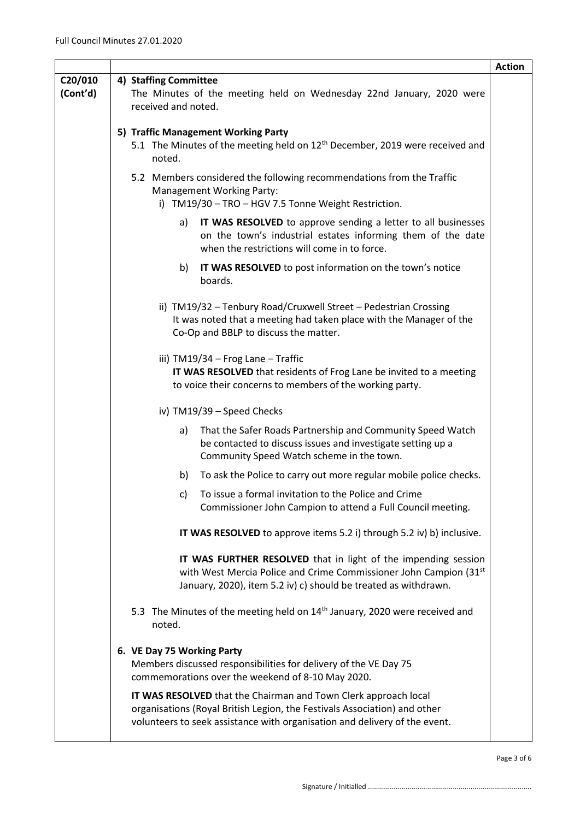|                     |                                                                                                                                                                                                                            | <b>Action</b> |
|---------------------|----------------------------------------------------------------------------------------------------------------------------------------------------------------------------------------------------------------------------|---------------|
| C20/010<br>(Cont'd) | 4) Staffing Committee<br>The Minutes of the meeting held on Wednesday 22nd January, 2020 were<br>received and noted.                                                                                                       |               |
|                     | 5) Traffic Management Working Party<br>5.1 The Minutes of the meeting held on 12 <sup>th</sup> December, 2019 were received and<br>noted.                                                                                  |               |
|                     | 5.2 Members considered the following recommendations from the Traffic<br><b>Management Working Party:</b><br>i) TM19/30 - TRO - HGV 7.5 Tonne Weight Restriction.                                                          |               |
|                     | IT WAS RESOLVED to approve sending a letter to all businesses<br>a)<br>on the town's industrial estates informing them of the date<br>when the restrictions will come in to force.                                         |               |
|                     | IT WAS RESOLVED to post information on the town's notice<br>b)<br>boards.                                                                                                                                                  |               |
|                     | ii) TM19/32 - Tenbury Road/Cruxwell Street - Pedestrian Crossing<br>It was noted that a meeting had taken place with the Manager of the<br>Co-Op and BBLP to discuss the matter.                                           |               |
|                     | iii) TM19/34 - Frog Lane - Traffic<br>IT WAS RESOLVED that residents of Frog Lane be invited to a meeting<br>to voice their concerns to members of the working party.                                                      |               |
|                     | iv) TM19/39 - Speed Checks                                                                                                                                                                                                 |               |
|                     | That the Safer Roads Partnership and Community Speed Watch<br>a)<br>be contacted to discuss issues and investigate setting up a<br>Community Speed Watch scheme in the town.                                               |               |
|                     | To ask the Police to carry out more regular mobile police checks.<br>b)                                                                                                                                                    |               |
|                     | To issue a formal invitation to the Police and Crime<br>C)<br>Commissioner John Campion to attend a Full Council meeting.                                                                                                  |               |
|                     | IT WAS RESOLVED to approve items 5.2 i) through 5.2 iv) b) inclusive.                                                                                                                                                      |               |
|                     | IT WAS FURTHER RESOLVED that in light of the impending session<br>with West Mercia Police and Crime Commissioner John Campion (31st<br>January, 2020), item 5.2 iv) c) should be treated as withdrawn.                     |               |
|                     | 5.3 The Minutes of the meeting held on 14 <sup>th</sup> January, 2020 were received and<br>noted.                                                                                                                          |               |
|                     | 6. VE Day 75 Working Party<br>Members discussed responsibilities for delivery of the VE Day 75<br>commemorations over the weekend of 8-10 May 2020.                                                                        |               |
|                     | IT WAS RESOLVED that the Chairman and Town Clerk approach local<br>organisations (Royal British Legion, the Festivals Association) and other<br>volunteers to seek assistance with organisation and delivery of the event. |               |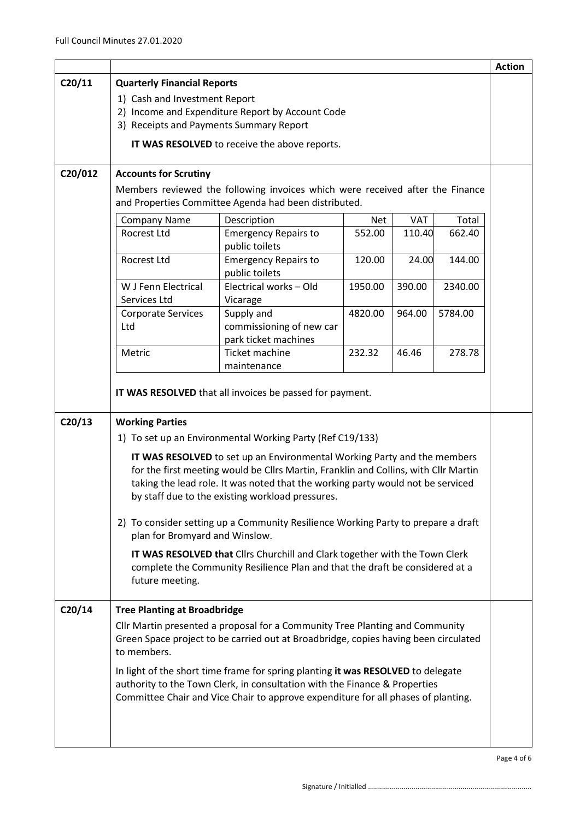|         |                                                                                                                                                                                                                                                     |                                                                                   |            |            |         | <b>Action</b> |
|---------|-----------------------------------------------------------------------------------------------------------------------------------------------------------------------------------------------------------------------------------------------------|-----------------------------------------------------------------------------------|------------|------------|---------|---------------|
| C20/11  | <b>Quarterly Financial Reports</b>                                                                                                                                                                                                                  |                                                                                   |            |            |         |               |
|         | 1) Cash and Investment Report                                                                                                                                                                                                                       |                                                                                   |            |            |         |               |
|         |                                                                                                                                                                                                                                                     | 2) Income and Expenditure Report by Account Code                                  |            |            |         |               |
|         | 3) Receipts and Payments Summary Report                                                                                                                                                                                                             |                                                                                   |            |            |         |               |
|         |                                                                                                                                                                                                                                                     | IT WAS RESOLVED to receive the above reports.                                     |            |            |         |               |
|         |                                                                                                                                                                                                                                                     |                                                                                   |            |            |         |               |
| C20/012 | <b>Accounts for Scrutiny</b>                                                                                                                                                                                                                        |                                                                                   |            |            |         |               |
|         | Members reviewed the following invoices which were received after the Finance<br>and Properties Committee Agenda had been distributed.                                                                                                              |                                                                                   |            |            |         |               |
|         | <b>Company Name</b>                                                                                                                                                                                                                                 | Description                                                                       | <b>Net</b> | <b>VAT</b> | Total   |               |
|         | Rocrest Ltd                                                                                                                                                                                                                                         | <b>Emergency Repairs to</b><br>public toilets                                     | 552.00     | 110.40     | 662.40  |               |
|         | Rocrest Ltd                                                                                                                                                                                                                                         | <b>Emergency Repairs to</b><br>public toilets                                     | 120.00     | 24.00      | 144.00  |               |
|         | W J Fenn Electrical<br>Services Ltd                                                                                                                                                                                                                 | Electrical works - Old<br>Vicarage                                                | 1950.00    | 390.00     | 2340.00 |               |
|         | <b>Corporate Services</b><br>Ltd                                                                                                                                                                                                                    | Supply and<br>commissioning of new car<br>park ticket machines                    | 4820.00    | 964.00     | 5784.00 |               |
|         | Metric                                                                                                                                                                                                                                              | <b>Ticket machine</b><br>maintenance                                              | 232.32     | 46.46      | 278.78  |               |
|         |                                                                                                                                                                                                                                                     | IT WAS RESOLVED that all invoices be passed for payment.                          |            |            |         |               |
|         |                                                                                                                                                                                                                                                     |                                                                                   |            |            |         |               |
| C20/13  | <b>Working Parties</b>                                                                                                                                                                                                                              |                                                                                   |            |            |         |               |
|         |                                                                                                                                                                                                                                                     | 1) To set up an Environmental Working Party (Ref C19/133)                         |            |            |         |               |
|         | IT WAS RESOLVED to set up an Environmental Working Party and the members                                                                                                                                                                            |                                                                                   |            |            |         |               |
|         | for the first meeting would be Cllrs Martin, Franklin and Collins, with Cllr Martin                                                                                                                                                                 |                                                                                   |            |            |         |               |
|         | taking the lead role. It was noted that the working party would not be serviced<br>by staff due to the existing workload pressures.                                                                                                                 |                                                                                   |            |            |         |               |
|         | plan for Bromyard and Winslow.                                                                                                                                                                                                                      | 2) To consider setting up a Community Resilience Working Party to prepare a draft |            |            |         |               |
|         |                                                                                                                                                                                                                                                     |                                                                                   |            |            |         |               |
|         | IT WAS RESOLVED that Cllrs Churchill and Clark together with the Town Clerk<br>complete the Community Resilience Plan and that the draft be considered at a<br>future meeting.                                                                      |                                                                                   |            |            |         |               |
| C20/14  | <b>Tree Planting at Broadbridge</b>                                                                                                                                                                                                                 |                                                                                   |            |            |         |               |
|         | Cllr Martin presented a proposal for a Community Tree Planting and Community<br>Green Space project to be carried out at Broadbridge, copies having been circulated<br>to members.                                                                  |                                                                                   |            |            |         |               |
|         | In light of the short time frame for spring planting it was RESOLVED to delegate<br>authority to the Town Clerk, in consultation with the Finance & Properties<br>Committee Chair and Vice Chair to approve expenditure for all phases of planting. |                                                                                   |            |            |         |               |
|         |                                                                                                                                                                                                                                                     |                                                                                   |            |            |         |               |

Page 4 of 6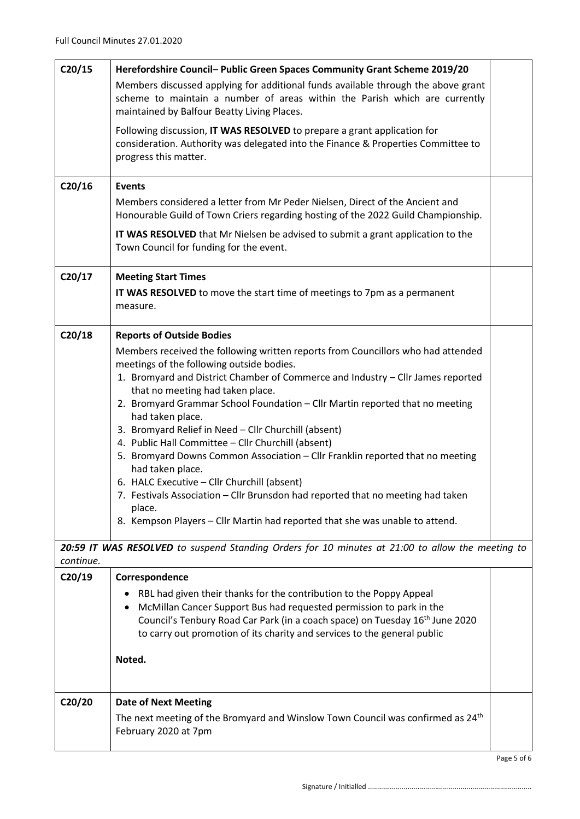| C20/15    | Herefordshire Council- Public Green Spaces Community Grant Scheme 2019/20                                                                                                                                                                                                                                          |             |  |
|-----------|--------------------------------------------------------------------------------------------------------------------------------------------------------------------------------------------------------------------------------------------------------------------------------------------------------------------|-------------|--|
|           | Members discussed applying for additional funds available through the above grant<br>scheme to maintain a number of areas within the Parish which are currently<br>maintained by Balfour Beatty Living Places.                                                                                                     |             |  |
|           | Following discussion, IT WAS RESOLVED to prepare a grant application for<br>consideration. Authority was delegated into the Finance & Properties Committee to<br>progress this matter.                                                                                                                             |             |  |
| C20/16    | <b>Events</b>                                                                                                                                                                                                                                                                                                      |             |  |
|           | Members considered a letter from Mr Peder Nielsen, Direct of the Ancient and<br>Honourable Guild of Town Criers regarding hosting of the 2022 Guild Championship.                                                                                                                                                  |             |  |
|           | IT WAS RESOLVED that Mr Nielsen be advised to submit a grant application to the<br>Town Council for funding for the event.                                                                                                                                                                                         |             |  |
| C20/17    | <b>Meeting Start Times</b>                                                                                                                                                                                                                                                                                         |             |  |
|           | IT WAS RESOLVED to move the start time of meetings to 7pm as a permanent<br>measure.                                                                                                                                                                                                                               |             |  |
| C20/18    | <b>Reports of Outside Bodies</b>                                                                                                                                                                                                                                                                                   |             |  |
|           | Members received the following written reports from Councillors who had attended                                                                                                                                                                                                                                   |             |  |
|           | meetings of the following outside bodies.                                                                                                                                                                                                                                                                          |             |  |
|           | 1. Bromyard and District Chamber of Commerce and Industry - Cllr James reported<br>that no meeting had taken place.                                                                                                                                                                                                |             |  |
|           | 2. Bromyard Grammar School Foundation - Cllr Martin reported that no meeting<br>had taken place.                                                                                                                                                                                                                   |             |  |
|           | 3. Bromyard Relief in Need - Cllr Churchill (absent)                                                                                                                                                                                                                                                               |             |  |
|           | 4. Public Hall Committee - Cllr Churchill (absent)<br>5. Bromyard Downs Common Association - Cllr Franklin reported that no meeting                                                                                                                                                                                |             |  |
|           | had taken place.                                                                                                                                                                                                                                                                                                   |             |  |
|           | 6. HALC Executive - Cllr Churchill (absent)                                                                                                                                                                                                                                                                        |             |  |
|           | 7. Festivals Association - Cllr Brunsdon had reported that no meeting had taken<br>place.                                                                                                                                                                                                                          |             |  |
|           | 8. Kempson Players - Cllr Martin had reported that she was unable to attend.                                                                                                                                                                                                                                       |             |  |
|           | 20:59 IT WAS RESOLVED to suspend Standing Orders for 10 minutes at 21:00 to allow the meeting to                                                                                                                                                                                                                   |             |  |
| continue. |                                                                                                                                                                                                                                                                                                                    |             |  |
| C20/19    | Correspondence                                                                                                                                                                                                                                                                                                     |             |  |
|           | RBL had given their thanks for the contribution to the Poppy Appeal<br>McMillan Cancer Support Bus had requested permission to park in the<br>Council's Tenbury Road Car Park (in a coach space) on Tuesday 16 <sup>th</sup> June 2020<br>to carry out promotion of its charity and services to the general public |             |  |
|           | Noted.                                                                                                                                                                                                                                                                                                             |             |  |
| C20/20    | <b>Date of Next Meeting</b>                                                                                                                                                                                                                                                                                        |             |  |
|           | The next meeting of the Bromyard and Winslow Town Council was confirmed as 24 <sup>th</sup><br>February 2020 at 7pm                                                                                                                                                                                                |             |  |
|           |                                                                                                                                                                                                                                                                                                                    | Page 5 of 6 |  |